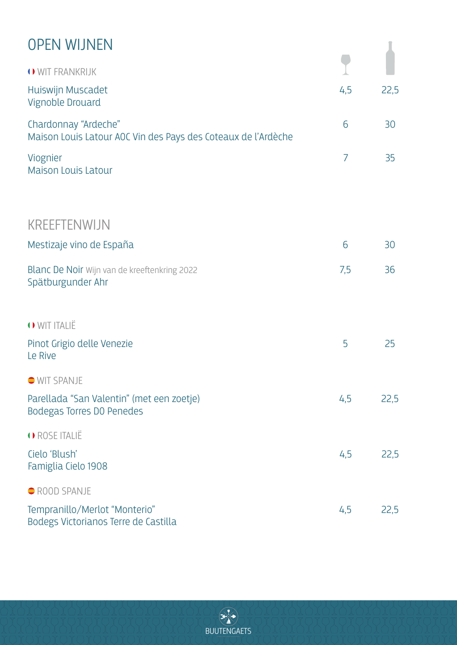#### OPEN WIJNEN

| <b>OPEN WIJNEN</b>                                                                    |     |      |
|---------------------------------------------------------------------------------------|-----|------|
| O WIT FRANKRIJK                                                                       |     |      |
| Huiswijn Muscadet<br>Vignoble Drouard                                                 | 4,5 | 22,5 |
| Chardonnay "Ardeche"<br>Maison Louis Latour AOC Vin des Pays des Coteaux de l'Ardèche | 6   | 30   |
| Viognier<br><b>Maison Louis Latour</b>                                                | 7   | 35   |
| <b>KREEFTENWIJN</b>                                                                   |     |      |
| Mestizaje vino de España                                                              | 6   | 30   |
| Blanc De Noir Wijn van de kreeftenkring 2022<br>Spätburgunder Ahr                     | 7,5 | 36   |
| O WIT ITALIË                                                                          |     |      |
| Pinot Grigio delle Venezie<br>Le Rive                                                 | 5   | 25   |
| <b>WIT SPANJE</b>                                                                     |     |      |
| Parellada "San Valentin" (met een zoetje)<br><b>Bodegas Torres DO Penedes</b>         | 4,5 | 22,5 |
| O ROSE ITALIË                                                                         |     |      |
| Cielo 'Blush'<br>Famiglia Cielo 1908                                                  | 4,5 | 22,5 |
| ROOD SPANJE                                                                           |     |      |
| Tempranillo/Merlot "Monterio"<br>Bodegs Victorianos Terre de Castilla                 | 4,5 | 22,5 |

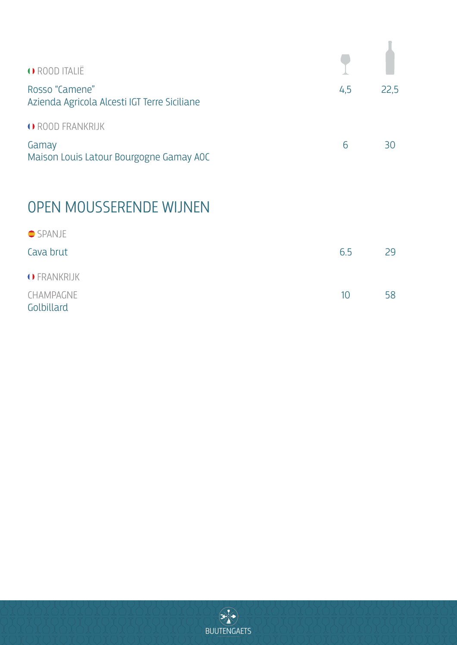| O ROOD ITALIË                                                        |     |      |
|----------------------------------------------------------------------|-----|------|
| Rosso "Camene"<br>Azienda Agricola Alcesti IGT Terre Siciliane       | 4,5 | 22,5 |
| O ROOD FRANKRIJK<br>Gamay<br>Maison Louis Latour Bourgogne Gamay AOC | 6   | RП   |

# OPEN MOUSSERENDE WIJNEN

| $\bullet$ SPANJE        |     |    |
|-------------------------|-----|----|
| Cava brut               | 6.5 | 29 |
| O FRANKRIJK             |     |    |
| CHAMPAGNE<br>Golbillard | 10  | 58 |

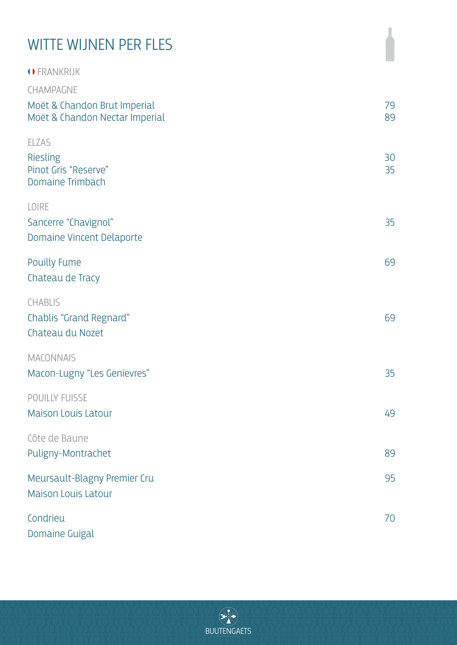#### CHAMPAGNE Moët & Chandon Brut Imperial Moët & Chandon Nectar Imperial 79 89 ELZAS Riesling Pinot Gris "Reserve" Domaine Trimbach 30 35 LOIRE Sancerre "Chavignol" Domaine Vincent Delaporte 35 Pouilly Fume Chateau de Tracy 69 CHABLIS Chablis "Grand Regnard" Chateau du Nozet 69 **MACONNAIS** Macon-Lugny "Les Genievres" 35 POUILLY FUISSE Maison Louis Latour 49 Côte de Baune Puligny-Montrachet 89 Meursault-Blagny Premier Cru Maison Louis Latour 95 Condrieu Domaine Guigal 70 WITTE WIJNEN PER FLES FRANKRIJK

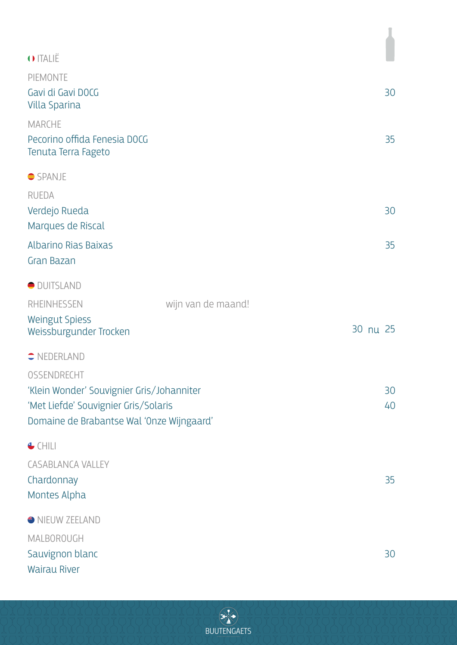| O ITALIË                                                             |                    |
|----------------------------------------------------------------------|--------------------|
|                                                                      |                    |
| PIEMONTE<br>Gavi di Gavi DOCG<br><b>Villa Sparina</b>                | 30                 |
| <b>MARCHE</b><br>Pecorino offida Fenesia DOCG<br>Tenuta Terra Fageto | 35                 |
| $\bullet$ SPANJE                                                     |                    |
| <b>RUEDA</b>                                                         |                    |
| Verdejo Rueda                                                        | 30                 |
| Marques de Riscal                                                    |                    |
| <b>Albarino Rias Baixas</b><br>Gran Bazan                            | 35                 |
| OUITSLAND                                                            |                    |
| RHEINHESSEN                                                          | wijn van de maand! |
| <b>Weingut Spiess</b><br>Weissburgunder Trocken                      | 30 nu 25           |
| $\bullet$ NEDERLAND                                                  |                    |
| OSSENDRECHT                                                          |                    |
| 'Klein Wonder' Souvignier Gris/Johanniter                            | 30                 |
| 'Met Liefde' Souvignier Gris/Solaris                                 | 40                 |
| Domaine de Brabantse Wal 'Onze Wijngaard'                            |                    |
| $\bigoplus$ CHILI                                                    |                    |
| <b>CASABLANCA VALLEY</b>                                             |                    |
| Chardonnay                                                           | 35                 |
| Montes Alpha                                                         |                    |
| INEUW ZEELAND                                                        |                    |
| MALBOROUGH                                                           |                    |
| Sauvignon blanc                                                      | 30                 |
| <b>Wairau River</b>                                                  |                    |

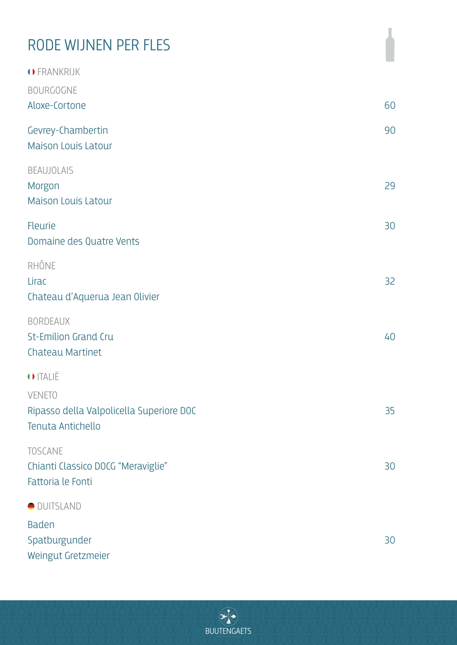# RODE WIJNEN PER FLES

| O FRANKRIJK<br><b>BOURGOGNE</b>                                                |    |
|--------------------------------------------------------------------------------|----|
| Aloxe-Cortone                                                                  | 60 |
| Gevrey-Chambertin<br><b>Maison Louis Latour</b>                                | 90 |
| <b>BEAUJOLAIS</b><br>Morgon<br><b>Maison Louis Latour</b>                      | 29 |
| Fleurie<br>Domaine des Quatre Vents                                            | 30 |
| RHÔNE<br>Lirac<br>Chateau d'Aquerua Jean Olivier                               | 32 |
| <b>BORDEAUX</b><br><b>St-Emilion Grand Cru</b><br><b>Chateau Martinet</b>      | 40 |
| O ITALIË                                                                       |    |
| <b>VENETO</b><br>Ripasso della Valpolicella Superiore DOC<br>Tenuta Antichello | 35 |
| <b>TOSCANE</b><br>Chianti Classico DOCG "Meraviglie"<br>Fattoria le Fonti      | 30 |
| OUITSLAND                                                                      |    |
| <b>Baden</b><br>Spatburgunder<br>Weingut Gretzmeier                            | 30 |

 $\begin{picture}(120,15) \put(0,0){\vector(1,0){10}} \put(15,0){\vector(1,0){10}} \put(15,0){\vector(1,0){10}} \put(15,0){\vector(1,0){10}} \put(15,0){\vector(1,0){10}} \put(15,0){\vector(1,0){10}} \put(15,0){\vector(1,0){10}} \put(15,0){\vector(1,0){10}} \put(15,0){\vector(1,0){10}} \put(15,0){\vector(1,0){10}} \put(15,0){\vector(1,0){10}} \put(15,0){\vector($ **BUUTENGAETS**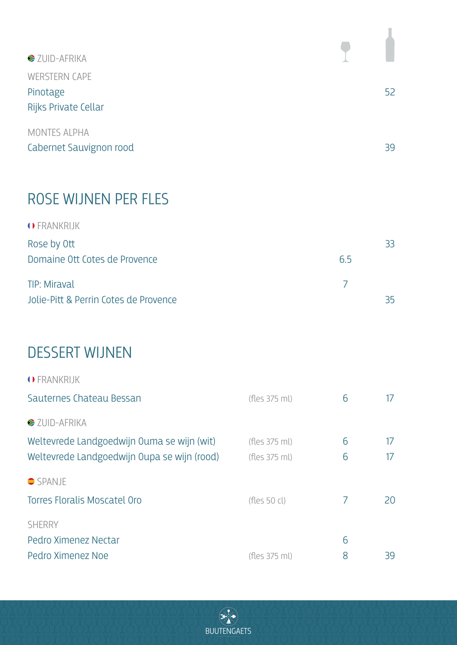| 52 |
|----|
|    |
| 39 |
|    |

## ROSE WIJNEN PER FLES

| O FRANKRIJK                           |     |     |
|---------------------------------------|-----|-----|
| Rose by Ott                           |     | 33  |
| Domaine Ott Cotes de Provence         | 6.5 |     |
| <b>TIP: Miraval</b>                   |     |     |
| Jolie-Pitt & Perrin Cotes de Provence |     | 35. |

## DESSERT WIJNEN

| O FRANKRIJK                                 |               |   |    |
|---------------------------------------------|---------------|---|----|
| Sauternes Chateau Bessan                    | (fles 375 ml) | 6 | 17 |
| $\blacktriangleright$ ZUID-AFRIKA           |               |   |    |
| Weltevrede Landgoedwijn Ouma se wijn (wit)  | (fles 375 ml) | 6 | 17 |
| Weltevrede Landgoedwijn Oupa se wijn (rood) | (fles 375 ml) | 6 | 17 |
| $\bullet$ SPANJE                            |               |   |    |
| Torres Floralis Moscatel Oro                | (fles 50 cl)  | 7 | 20 |
| <b>SHERRY</b>                               |               |   |    |
| Pedro Ximenez Nectar                        |               | 6 |    |
| Pedro Ximenez Noe                           | (fles 375 ml) | 8 | 39 |

**BUUTENGAETS** 

 $\begin{picture}(120,15) \put(0,0){\vector(0,1){30}} \put(15,0){\vector(0,1){30}} \put(15,0){\vector(0,1){30}} \put(15,0){\vector(0,1){30}} \put(15,0){\vector(0,1){30}} \put(15,0){\vector(0,1){30}} \put(15,0){\vector(0,1){30}} \put(15,0){\vector(0,1){30}} \put(15,0){\vector(0,1){30}} \put(15,0){\vector(0,1){30}} \put(15,0){\vector(0,1){30}} \put(15,0){\vector($